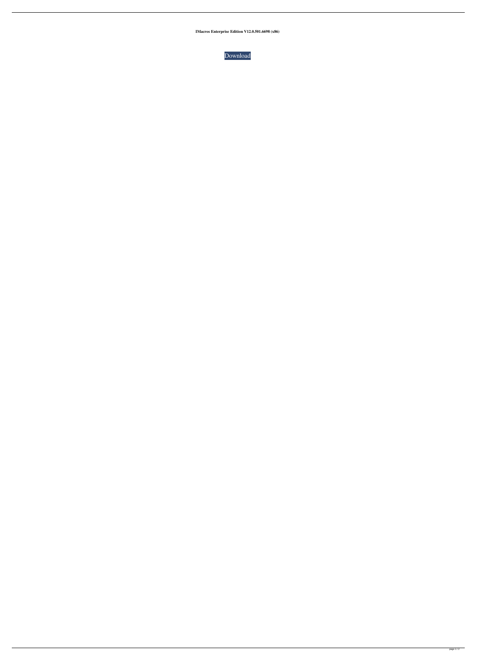**IMacros Enterprise Edition V12.0.501.6698 (x86)**